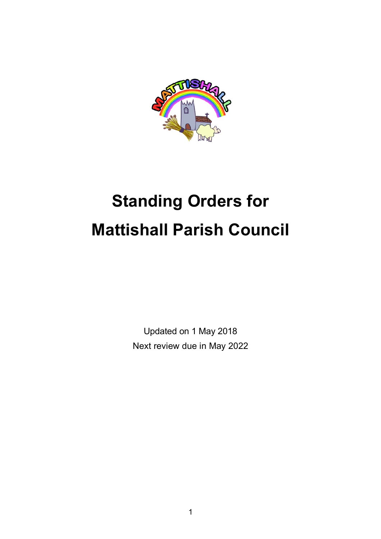

# **Standing Orders for Mattishall Parish Council**

Updated on 1 May 2018 Next review due in May 2022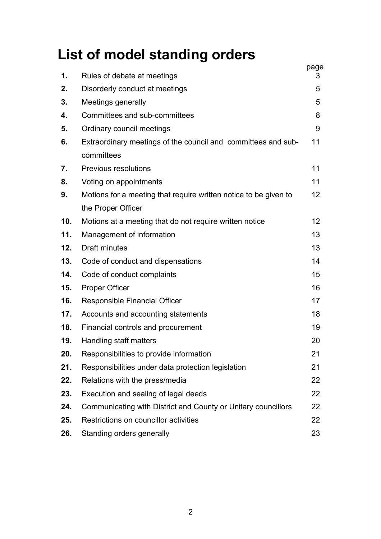# **List of model standing orders**

| 1.              | Rules of debate at meetings                                                 | page<br>3 |
|-----------------|-----------------------------------------------------------------------------|-----------|
| 2.              | Disorderly conduct at meetings                                              | 5         |
| 3.              | Meetings generally                                                          | 5         |
| 4.              | Committees and sub-committees                                               | 8         |
| 5.              | Ordinary council meetings                                                   | 9         |
| 6.              | Extraordinary meetings of the council and committees and sub-<br>committees | 11        |
| 7.              | <b>Previous resolutions</b>                                                 | 11        |
| 8.              | Voting on appointments                                                      | 11        |
| 9.              | Motions for a meeting that require written notice to be given to            | 12        |
|                 | the Proper Officer                                                          |           |
| 10 <sub>1</sub> | Motions at a meeting that do not require written notice                     | 12        |
| 11.             | Management of information                                                   | 13        |
| 12.             | Draft minutes                                                               | 13        |
| 13.             | Code of conduct and dispensations                                           | 14        |
| 14.             | Code of conduct complaints                                                  | 15        |
| 15.             | <b>Proper Officer</b>                                                       | 16        |
| 16.             | Responsible Financial Officer                                               | 17        |
| 17.             | Accounts and accounting statements                                          | 18        |
| 18.             | Financial controls and procurement                                          | 19        |
| 19.             | Handling staff matters                                                      | 20        |
| 20.             | Responsibilities to provide information                                     | 21        |
| 21.             | Responsibilities under data protection legislation                          | 21        |
| 22.             | Relations with the press/media                                              | 22        |
| 23.             | Execution and sealing of legal deeds                                        | 22        |
| 24.             | Communicating with District and County or Unitary councillors               | 22        |
| 25.             | Restrictions on councillor activities                                       | 22        |
| 26.             | Standing orders generally                                                   | 23        |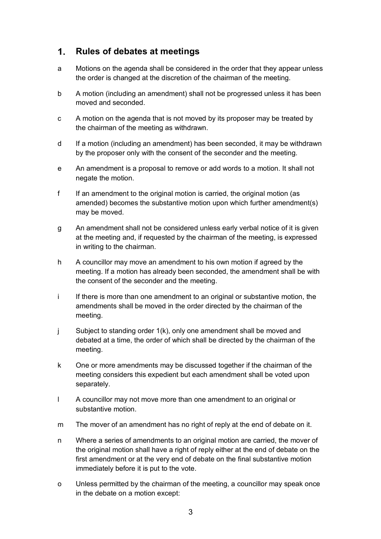#### $\mathbf{1}$ . **Rules of debates at meetings**

- a Motions on the agenda shall be considered in the order that they appear unless the order is changed at the discretion of the chairman of the meeting.
- b A motion (including an amendment) shall not be progressed unless it has been moved and seconded.
- c A motion on the agenda that is not moved by its proposer may be treated by the chairman of the meeting as withdrawn.
- d If a motion (including an amendment) has been seconded, it may be withdrawn by the proposer only with the consent of the seconder and the meeting.
- e An amendment is a proposal to remove or add words to a motion. It shall not negate the motion.
- f If an amendment to the original motion is carried, the original motion (as amended) becomes the substantive motion upon which further amendment(s) may be moved.
- g An amendment shall not be considered unless early verbal notice of it is given at the meeting and, if requested by the chairman of the meeting, is expressed in writing to the chairman.
- h A councillor may move an amendment to his own motion if agreed by the meeting. If a motion has already been seconded, the amendment shall be with the consent of the seconder and the meeting.
- i If there is more than one amendment to an original or substantive motion, the amendments shall be moved in the order directed by the chairman of the meeting.
- j Subject to standing order 1(k), only one amendment shall be moved and debated at a time, the order of which shall be directed by the chairman of the meeting.
- k One or more amendments may be discussed together if the chairman of the meeting considers this expedient but each amendment shall be voted upon separately.
- l A councillor may not move more than one amendment to an original or substantive motion.
- m The mover of an amendment has no right of reply at the end of debate on it.
- n Where a series of amendments to an original motion are carried, the mover of the original motion shall have a right of reply either at the end of debate on the first amendment or at the very end of debate on the final substantive motion immediately before it is put to the vote.
- o Unless permitted by the chairman of the meeting, a councillor may speak once in the debate on a motion except: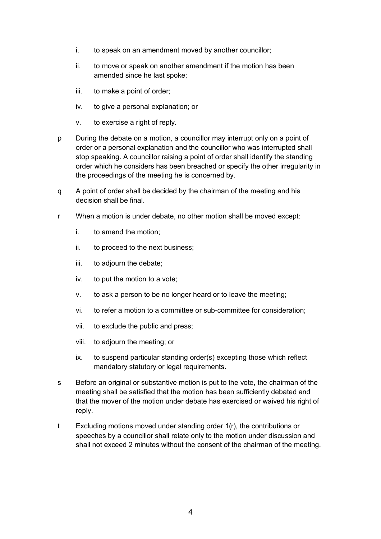- i. to speak on an amendment moved by another councillor;
- ii. to move or speak on another amendment if the motion has been amended since he last spoke;
- iii. to make a point of order;
- iv. to give a personal explanation; or
- v. to exercise a right of reply.
- p During the debate on a motion, a councillor may interrupt only on a point of order or a personal explanation and the councillor who was interrupted shall stop speaking. A councillor raising a point of order shall identify the standing order which he considers has been breached or specify the other irregularity in the proceedings of the meeting he is concerned by.
- q A point of order shall be decided by the chairman of the meeting and his decision shall be final.
- r When a motion is under debate, no other motion shall be moved except:
	- i. to amend the motion;
	- ii. to proceed to the next business;
	- iii. to adjourn the debate;
	- iv. to put the motion to a vote;
	- v. to ask a person to be no longer heard or to leave the meeting;
	- vi. to refer a motion to a committee or sub-committee for consideration;
	- vii. to exclude the public and press;
	- viii. to adjourn the meeting; or
	- ix. to suspend particular standing order(s) excepting those which reflect mandatory statutory or legal requirements.
- s Before an original or substantive motion is put to the vote, the chairman of the meeting shall be satisfied that the motion has been sufficiently debated and that the mover of the motion under debate has exercised or waived his right of reply.
- t Excluding motions moved under standing order 1(r), the contributions or speeches by a councillor shall relate only to the motion under discussion and shall not exceed 2 minutes without the consent of the chairman of the meeting.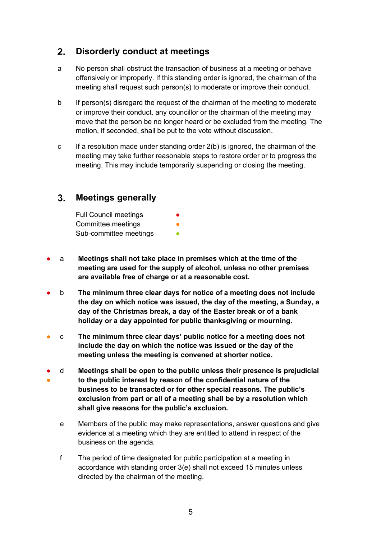#### $2.$ **Disorderly conduct at meetings**

- a No person shall obstruct the transaction of business at a meeting or behave offensively or improperly. If this standing order is ignored, the chairman of the meeting shall request such person(s) to moderate or improve their conduct.
- b If person(s) disregard the request of the chairman of the meeting to moderate or improve their conduct, any councillor or the chairman of the meeting may move that the person be no longer heard or be excluded from the meeting. The motion, if seconded, shall be put to the vote without discussion.
- c If a resolution made under standing order 2(b) is ignored, the chairman of the meeting may take further reasonable steps to restore order or to progress the meeting. This may include temporarily suspending or closing the meeting.

#### $3<sub>1</sub>$ **Meetings generally**

| <b>Full Council meetings</b> | $\bullet$ |
|------------------------------|-----------|
| Committee meetings           |           |
| Sub-committee meetings       |           |

- a **Meetings shall not take place in premises which at the time of the meeting are used for the supply of alcohol, unless no other premises are available free of charge or at a reasonable cost.**
- b **The minimum three clear days for notice of a meeting does not include the day on which notice was issued, the day of the meeting, a Sunday, a day of the Christmas break, a day of the Easter break or of a bank holiday or a day appointed for public thanksgiving or mourning.**
- c **The minimum three clear days' public notice for a meeting does not include the day on which the notice was issued or the day of the meeting unless the meeting is convened at shorter notice.**
- ● d **Meetings shall be open to the public unless their presence is prejudicial to the public interest by reason of the confidential nature of the business to be transacted or for other special reasons. The public's exclusion from part or all of a meeting shall be by a resolution which shall give reasons for the public's exclusion.**
	- e Members of the public may make representations, answer questions and give evidence at a meeting which they are entitled to attend in respect of the business on the agenda.
	- f The period of time designated for public participation at a meeting in accordance with standing order 3(e) shall not exceed 15 minutes unless directed by the chairman of the meeting.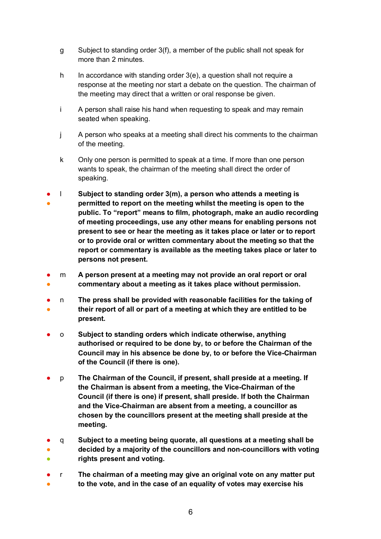- g Subject to standing order 3(f), a member of the public shall not speak for more than 2 minutes.
- h In accordance with standing order 3(e), a question shall not require a response at the meeting nor start a debate on the question. The chairman of the meeting may direct that a written or oral response be given.
- i A person shall raise his hand when requesting to speak and may remain seated when speaking.
- j A person who speaks at a meeting shall direct his comments to the chairman of the meeting.
- k Only one person is permitted to speak at a time. If more than one person wants to speak, the chairman of the meeting shall direct the order of speaking.
- ● l **Subject to standing order 3(m), a person who attends a meeting is permitted to report on the meeting whilst the meeting is open to the public. To "report" means to film, photograph, make an audio recording of meeting proceedings, use any other means for enabling persons not present to see or hear the meeting as it takes place or later or to report or to provide oral or written commentary about the meeting so that the report or commentary is available as the meeting takes place or later to persons not present.**
- ● m **A person present at a meeting may not provide an oral report or oral commentary about a meeting as it takes place without permission.**
- ● n **The press shall be provided with reasonable facilities for the taking of their report of all or part of a meeting at which they are entitled to be present.**
- o **Subject to standing orders which indicate otherwise, anything authorised or required to be done by, to or before the Chairman of the Council may in his absence be done by, to or before the Vice-Chairman of the Council (if there is one).**
- p **The Chairman of the Council, if present, shall preside at a meeting. If the Chairman is absent from a meeting, the Vice-Chairman of the Council (if there is one) if present, shall preside. If both the Chairman and the Vice-Chairman are absent from a meeting, a councillor as chosen by the councillors present at the meeting shall preside at the meeting.**
- ● ● q **Subject to a meeting being quorate, all questions at a meeting shall be decided by a majority of the councillors and non-councillors with voting rights present and voting.**
- ● r **The chairman of a meeting may give an original vote on any matter put to the vote, and in the case of an equality of votes may exercise his**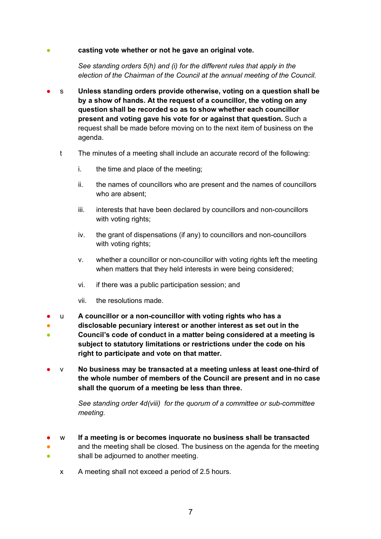### casting vote whether or not he gave an original vote.

*See standing orders 5(h) and (i) for the different rules that apply in the election of the Chairman of the Council at the annual meeting of the Council.*

- s **Unless standing orders provide otherwise, voting on a question shall be by a show of hands. At the request of a councillor, the voting on any question shall be recorded so as to show whether each councillor present and voting gave his vote for or against that question.** Such a request shall be made before moving on to the next item of business on the agenda.
	- t The minutes of a meeting shall include an accurate record of the following:
		- i. the time and place of the meeting;
		- ii. the names of councillors who are present and the names of councillors who are absent;
		- iii. interests that have been declared by councillors and non-councillors with voting rights;
		- iv. the grant of dispensations (if any) to councillors and non-councillors with voting rights:
		- v. whether a councillor or non-councillor with voting rights left the meeting when matters that they held interests in were being considered;
		- vi. if there was a public participation session; and
		- vii. the resolutions made.
- u **A councillor or a non-councillor with voting rights who has a**
- ● **disclosable pecuniary interest or another interest as set out in the Council's code of conduct in a matter being considered at a meeting is subject to statutory limitations or restrictions under the code on his right to participate and vote on that matter.**
- v **No business may be transacted at a meeting unless at least one-third of the whole number of members of the Council are present and in no case shall the quorum of a meeting be less than three.**

*See standing order 4d(viii) for the quorum of a committee or sub-committee meeting.*

- w **If a meeting is or becomes inquorate no business shall be transacted**
- ● and the meeting shall be closed. The business on the agenda for the meeting shall be adjourned to another meeting.
	- x A meeting shall not exceed a period of 2.5 hours.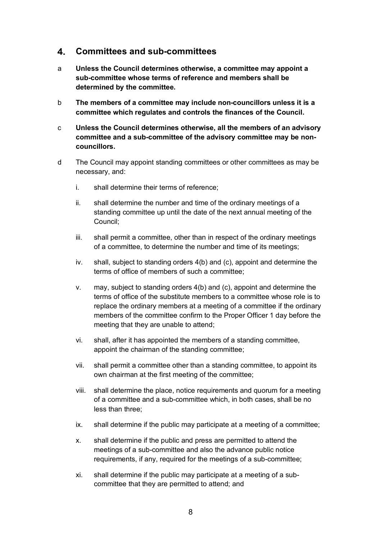#### $\mathbf{4}_{\cdot}$ **Committees and sub-committees**

- a **Unless the Council determines otherwise, a committee may appoint a sub-committee whose terms of reference and members shall be determined by the committee.**
- b **The members of a committee may include non-councillors unless it is a committee which regulates and controls the finances of the Council.**
- c **Unless the Council determines otherwise, all the members of an advisory committee and a sub-committee of the advisory committee may be noncouncillors.**
- d The Council may appoint standing committees or other committees as may be necessary, and:
	- i. shall determine their terms of reference;
	- ii. shall determine the number and time of the ordinary meetings of a standing committee up until the date of the next annual meeting of the Council;
	- iii. shall permit a committee, other than in respect of the ordinary meetings of a committee, to determine the number and time of its meetings;
	- iv. shall, subject to standing orders 4(b) and (c), appoint and determine the terms of office of members of such a committee;
	- v. may, subject to standing orders 4(b) and (c), appoint and determine the terms of office of the substitute members to a committee whose role is to replace the ordinary members at a meeting of a committee if the ordinary members of the committee confirm to the Proper Officer 1 day before the meeting that they are unable to attend;
	- vi. shall, after it has appointed the members of a standing committee, appoint the chairman of the standing committee;
	- vii. shall permit a committee other than a standing committee, to appoint its own chairman at the first meeting of the committee;
	- viii. shall determine the place, notice requirements and quorum for a meeting of a committee and a sub-committee which, in both cases, shall be no less than three;
	- ix. shall determine if the public may participate at a meeting of a committee;
	- x. shall determine if the public and press are permitted to attend the meetings of a sub-committee and also the advance public notice requirements, if any, required for the meetings of a sub-committee;
	- xi. shall determine if the public may participate at a meeting of a subcommittee that they are permitted to attend; and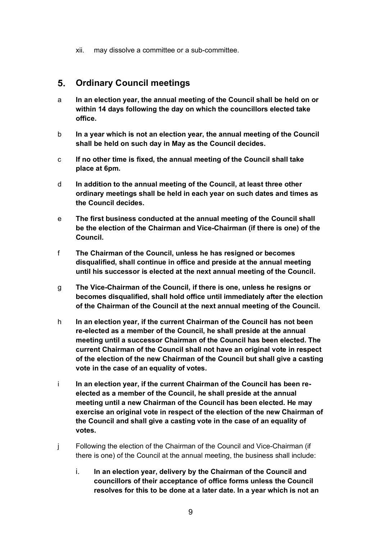xii. may dissolve a committee or a sub-committee.

#### $5<sub>1</sub>$ **Ordinary Council meetings**

- a **In an election year, the annual meeting of the Council shall be held on or within 14 days following the day on which the councillors elected take office.**
- b **In a year which is not an election year, the annual meeting of the Council shall be held on such day in May as the Council decides.**
- c **If no other time is fixed, the annual meeting of the Council shall take place at 6pm.**
- d **In addition to the annual meeting of the Council, at least three other ordinary meetings shall be held in each year on such dates and times as the Council decides.**
- e **The first business conducted at the annual meeting of the Council shall be the election of the Chairman and Vice-Chairman (if there is one) of the Council.**
- f **The Chairman of the Council, unless he has resigned or becomes disqualified, shall continue in office and preside at the annual meeting until his successor is elected at the next annual meeting of the Council.**
- g **The Vice-Chairman of the Council, if there is one, unless he resigns or becomes disqualified, shall hold office until immediately after the election of the Chairman of the Council at the next annual meeting of the Council.**
- h **In an election year, if the current Chairman of the Council has not been re-elected as a member of the Council, he shall preside at the annual meeting until a successor Chairman of the Council has been elected. The current Chairman of the Council shall not have an original vote in respect of the election of the new Chairman of the Council but shall give a casting vote in the case of an equality of votes.**
- i **In an election year, if the current Chairman of the Council has been reelected as a member of the Council, he shall preside at the annual meeting until a new Chairman of the Council has been elected. He may exercise an original vote in respect of the election of the new Chairman of the Council and shall give a casting vote in the case of an equality of votes.**
- j Following the election of the Chairman of the Council and Vice-Chairman (if there is one) of the Council at the annual meeting, the business shall include:
	- i. **In an election year, delivery by the Chairman of the Council and councillors of their acceptance of office forms unless the Council resolves for this to be done at a later date. In a year which is not an**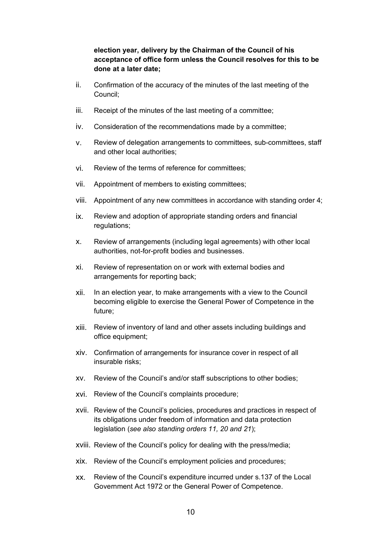### **election year, delivery by the Chairman of the Council of his acceptance of office form unless the Council resolves for this to be done at a later date;**

- ii. Confirmation of the accuracy of the minutes of the last meeting of the Council;
- iii. Receipt of the minutes of the last meeting of a committee;
- iv. Consideration of the recommendations made by a committee;
- v. Review of delegation arrangements to committees, sub-committees, staff and other local authorities;
- vi. Review of the terms of reference for committees;
- vii. Appointment of members to existing committees;
- viii. Appointment of any new committees in accordance with standing order 4;
- ix. Review and adoption of appropriate standing orders and financial regulations;
- x. Review of arrangements (including legal agreements) with other local authorities, not-for-profit bodies and businesses.
- xi. Review of representation on or work with external bodies and arrangements for reporting back;
- xii. In an election year, to make arrangements with a view to the Council becoming eligible to exercise the General Power of Competence in the future;
- xiii. Review of inventory of land and other assets including buildings and office equipment;
- xiv. Confirmation of arrangements for insurance cover in respect of all insurable risks;
- xv. Review of the Council's and/or staff subscriptions to other bodies;
- xvi. Review of the Council's complaints procedure;
- xvii. Review of the Council's policies, procedures and practices in respect of its obligations under freedom of information and data protection legislation (*see also standing orders 11, 20 and 21*);
- xviii. Review of the Council's policy for dealing with the press/media;
- xix. Review of the Council's employment policies and procedures;
- xx. Review of the Council's expenditure incurred under s.137 of the Local Government Act 1972 or the General Power of Competence.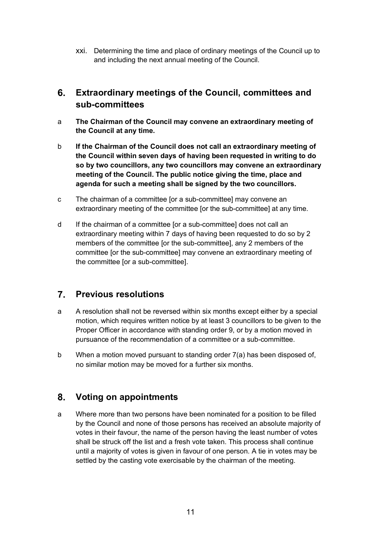xxi. Determining the time and place of ordinary meetings of the Council up to and including the next annual meeting of the Council.

#### **Extraordinary meetings of the Council, committees and**  6. **sub-committees**

- a **The Chairman of the Council may convene an extraordinary meeting of the Council at any time.**
- b **If the Chairman of the Council does not call an extraordinary meeting of the Council within seven days of having been requested in writing to do so by two councillors, any two councillors may convene an extraordinary meeting of the Council. The public notice giving the time, place and agenda for such a meeting shall be signed by the two councillors.**
- c The chairman of a committee [or a sub-committee] may convene an extraordinary meeting of the committee [or the sub-committee] at any time.
- d If the chairman of a committee [or a sub-committee] does not call an extraordinary meeting within 7 days of having been requested to do so by 2 members of the committee [or the sub-committee], any 2 members of the committee [or the sub-committee] may convene an extraordinary meeting of the committee [or a sub-committee].

#### $7<sub>1</sub>$ **Previous resolutions**

- a A resolution shall not be reversed within six months except either by a special motion, which requires written notice by at least 3 councillors to be given to the Proper Officer in accordance with standing order 9, or by a motion moved in pursuance of the recommendation of a committee or a sub-committee.
- b When a motion moved pursuant to standing order 7(a) has been disposed of, no similar motion may be moved for a further six months.

#### $8<sub>-</sub>$ **Voting on appointments**

a Where more than two persons have been nominated for a position to be filled by the Council and none of those persons has received an absolute majority of votes in their favour, the name of the person having the least number of votes shall be struck off the list and a fresh vote taken. This process shall continue until a majority of votes is given in favour of one person. A tie in votes may be settled by the casting vote exercisable by the chairman of the meeting.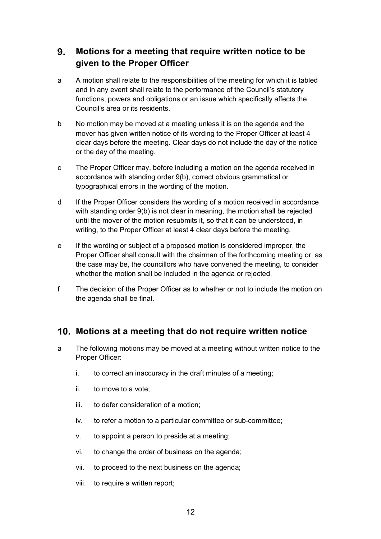#### 9. **Motions for a meeting that require written notice to be given to the Proper Officer**

- a A motion shall relate to the responsibilities of the meeting for which it is tabled and in any event shall relate to the performance of the Council's statutory functions, powers and obligations or an issue which specifically affects the Council's area or its residents.
- b No motion may be moved at a meeting unless it is on the agenda and the mover has given written notice of its wording to the Proper Officer at least 4 clear days before the meeting. Clear days do not include the day of the notice or the day of the meeting.
- c The Proper Officer may, before including a motion on the agenda received in accordance with standing order 9(b), correct obvious grammatical or typographical errors in the wording of the motion.
- d If the Proper Officer considers the wording of a motion received in accordance with standing order 9(b) is not clear in meaning, the motion shall be rejected until the mover of the motion resubmits it, so that it can be understood, in writing, to the Proper Officer at least 4 clear days before the meeting.
- e If the wording or subject of a proposed motion is considered improper, the Proper Officer shall consult with the chairman of the forthcoming meeting or, as the case may be, the councillors who have convened the meeting, to consider whether the motion shall be included in the agenda or rejected.
- f The decision of the Proper Officer as to whether or not to include the motion on the agenda shall be final.

### **Motions at a meeting that do not require written notice**

- a The following motions may be moved at a meeting without written notice to the Proper Officer:
	- i. to correct an inaccuracy in the draft minutes of a meeting;
	- ii. to move to a vote;
	- iii. to defer consideration of a motion;
	- iv. to refer a motion to a particular committee or sub-committee;
	- v. to appoint a person to preside at a meeting;
	- vi. to change the order of business on the agenda;
	- vii. to proceed to the next business on the agenda;
	- viii. to require a written report;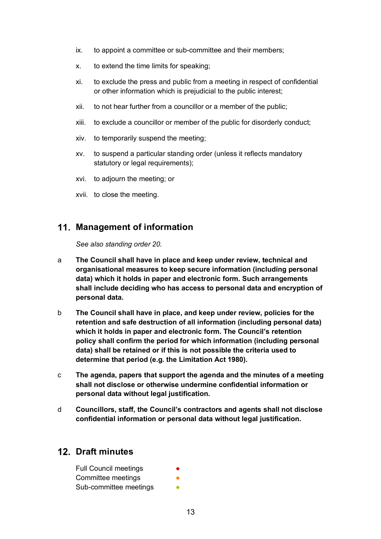- ix. to appoint a committee or sub-committee and their members;
- x. to extend the time limits for speaking;
- xi. to exclude the press and public from a meeting in respect of confidential or other information which is prejudicial to the public interest;
- xii. to not hear further from a councillor or a member of the public;
- xiii. to exclude a councillor or member of the public for disorderly conduct;
- xiv. to temporarily suspend the meeting;
- xv. to suspend a particular standing order (unless it reflects mandatory statutory or legal requirements);
- xvi. to adjourn the meeting; or
- xvii. to close the meeting.

### **Management of information**

*See also standing order 20.*

- a **The Council shall have in place and keep under review, technical and organisational measures to keep secure information (including personal data) which it holds in paper and electronic form. Such arrangements shall include deciding who has access to personal data and encryption of personal data.**
- b **The Council shall have in place, and keep under review, policies for the retention and safe destruction of all information (including personal data) which it holds in paper and electronic form. The Council's retention policy shall confirm the period for which information (including personal data) shall be retained or if this is not possible the criteria used to determine that period (e.g. the Limitation Act 1980).**
- c **The agenda, papers that support the agenda and the minutes of a meeting shall not disclose or otherwise undermine confidential information or personal data without legal justification.**
- d **Councillors, staff, the Council's contractors and agents shall not disclose confidential information or personal data without legal justification.**

### **Draft minutes**

| <b>Full Council meetings</b> | $\bullet$ |
|------------------------------|-----------|
| Committee meetings           |           |
| Sub-committee meetings       |           |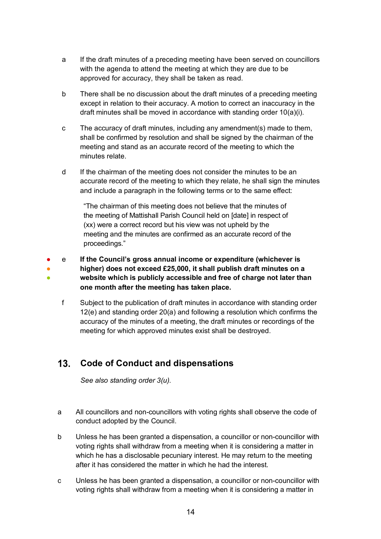- a If the draft minutes of a preceding meeting have been served on councillors with the agenda to attend the meeting at which they are due to be approved for accuracy, they shall be taken as read.
- b There shall be no discussion about the draft minutes of a preceding meeting except in relation to their accuracy. A motion to correct an inaccuracy in the draft minutes shall be moved in accordance with standing order 10(a)(i).
- c The accuracy of draft minutes, including any amendment(s) made to them, shall be confirmed by resolution and shall be signed by the chairman of the meeting and stand as an accurate record of the meeting to which the minutes relate.
- d If the chairman of the meeting does not consider the minutes to be an accurate record of the meeting to which they relate, he shall sign the minutes and include a paragraph in the following terms or to the same effect:

"The chairman of this meeting does not believe that the minutes of the meeting of Mattishall Parish Council held on [date] in respect of (xx) were a correct record but his view was not upheld by the meeting and the minutes are confirmed as an accurate record of the proceedings."

- ● ● e **If the Council's gross annual income or expenditure (whichever is higher) does not exceed £25,000, it shall publish draft minutes on a website which is publicly accessible and free of charge not later than one month after the meeting has taken place.**
	- f Subject to the publication of draft minutes in accordance with standing order 12(e) and standing order 20(a) and following a resolution which confirms the accuracy of the minutes of a meeting, the draft minutes or recordings of the meeting for which approved minutes exist shall be destroyed.

#### $13.$ **Code of Conduct and dispensations**

*See also standing order 3(u).*

- a All councillors and non-councillors with voting rights shall observe the code of conduct adopted by the Council.
- b Unless he has been granted a dispensation, a councillor or non-councillor with voting rights shall withdraw from a meeting when it is considering a matter in which he has a disclosable pecuniary interest. He may return to the meeting after it has considered the matter in which he had the interest.
- c Unless he has been granted a dispensation, a councillor or non-councillor with voting rights shall withdraw from a meeting when it is considering a matter in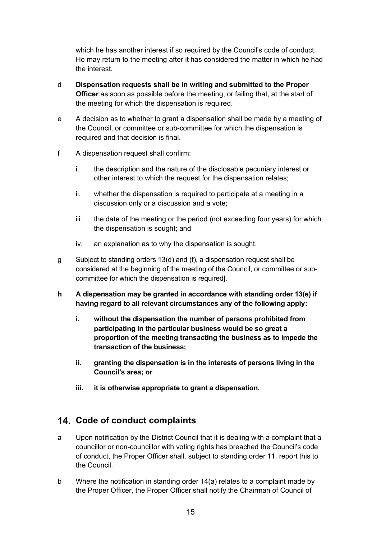which he has another interest if so required by the Council's code of conduct. He may return to the meeting after it has considered the matter in which he had the interest.

- d **Dispensation requests shall be in writing and submitted to the Proper Officer** as soon as possible before the meeting, or failing that, at the start of the meeting for which the dispensation is required.
- e A decision as to whether to grant a dispensation shall be made by a meeting of the Council, or committee or sub-committee for which the dispensation is required and that decision is final.
- f A dispensation request shall confirm:
	- i. the description and the nature of the disclosable pecuniary interest or other interest to which the request for the dispensation relates;
	- ii. whether the dispensation is required to participate at a meeting in a discussion only or a discussion and a vote;
	- iii. the date of the meeting or the period (not exceeding four years) for which the dispensation is sought; and
	- iv. an explanation as to why the dispensation is sought.
- g Subject to standing orders 13(d) and (f), a dispensation request shall be considered at the beginning of the meeting of the Council, or committee or subcommittee for which the dispensation is required].
- **h A dispensation may be granted in accordance with standing order 13(e) if having regard to all relevant circumstances any of the following apply:**
	- **i. without the dispensation the number of persons prohibited from participating in the particular business would be so great a proportion of the meeting transacting the business as to impede the transaction of the business;**
	- **ii. granting the dispensation is in the interests of persons living in the Council's area; or**
	- **iii. it is otherwise appropriate to grant a dispensation.**

### **Code of conduct complaints**

- a Upon notification by the District Council that it is dealing with a complaint that a councillor or non-councillor with voting rights has breached the Council's code of conduct, the Proper Officer shall, subject to standing order 11, report this to the Council.
- b Where the notification in standing order 14(a) relates to a complaint made by the Proper Officer, the Proper Officer shall notify the Chairman of Council of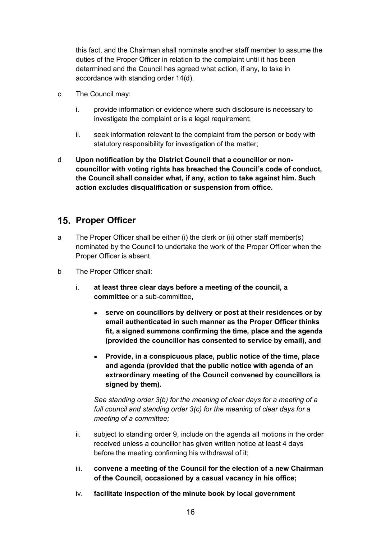this fact, and the Chairman shall nominate another staff member to assume the duties of the Proper Officer in relation to the complaint until it has been determined and the Council has agreed what action, if any, to take in accordance with standing order 14(d).

- c The Council may:
	- i. provide information or evidence where such disclosure is necessary to investigate the complaint or is a legal requirement;
	- ii. seek information relevant to the complaint from the person or body with statutory responsibility for investigation of the matter;
- d **Upon notification by the District Council that a councillor or noncouncillor with voting rights has breached the Council's code of conduct, the Council shall consider what, if any, action to take against him. Such action excludes disqualification or suspension from office.**

### **15. Proper Officer**

- a The Proper Officer shall be either (i) the clerk or (ii) other staff member(s) nominated by the Council to undertake the work of the Proper Officer when the Proper Officer is absent.
- b The Proper Officer shall:
	- i. **at least three clear days before a meeting of the council, a committee** or a sub-committee**,**
		- **serve on councillors by delivery or post at their residences or by email authenticated in such manner as the Proper Officer thinks fit, a signed summons confirming the time, place and the agenda (provided the councillor has consented to service by email), and**
		- **Provide, in a conspicuous place, public notice of the time, place and agenda (provided that the public notice with agenda of an extraordinary meeting of the Council convened by councillors is signed by them).**

*See standing order 3(b) for the meaning of clear days for a meeting of a full council and standing order 3(c) for the meaning of clear days for a meeting of a committee;*

- ii. subject to standing order 9, include on the agenda all motions in the order received unless a councillor has given written notice at least 4 days before the meeting confirming his withdrawal of it;
- iii. **convene a meeting of the Council for the election of a new Chairman of the Council, occasioned by a casual vacancy in his office;**
- iv. **facilitate inspection of the minute book by local government**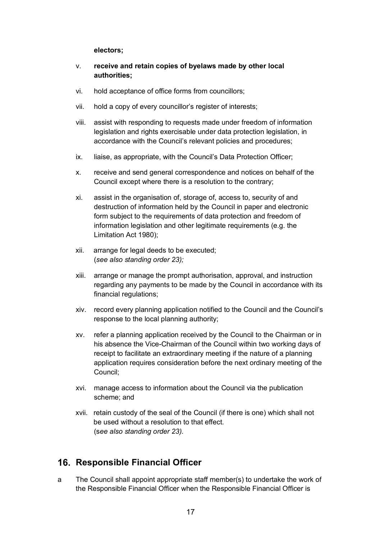**electors;**

- v. **receive and retain copies of byelaws made by other local authorities;**
- vi. hold acceptance of office forms from councillors;
- vii. hold a copy of every councillor's register of interests;
- viii. assist with responding to requests made under freedom of information legislation and rights exercisable under data protection legislation, in accordance with the Council's relevant policies and procedures;
- ix. liaise, as appropriate, with the Council's Data Protection Officer;
- x. receive and send general correspondence and notices on behalf of the Council except where there is a resolution to the contrary;
- xi. assist in the organisation of, storage of, access to, security of and destruction of information held by the Council in paper and electronic form subject to the requirements of data protection and freedom of information legislation and other legitimate requirements (e.g. the Limitation Act 1980);
- xii. arrange for legal deeds to be executed; (*see also standing order 23);*
- xiii. arrange or manage the prompt authorisation, approval, and instruction regarding any payments to be made by the Council in accordance with its financial regulations;
- xiv. record every planning application notified to the Council and the Council's response to the local planning authority;
- xv. refer a planning application received by the Council to the Chairman or in his absence the Vice-Chairman of the Council within two working days of receipt to facilitate an extraordinary meeting if the nature of a planning application requires consideration before the next ordinary meeting of the Council;
- xvi. manage access to information about the Council via the publication scheme; and
- xvii. retain custody of the seal of the Council (if there is one) which shall not be used without a resolution to that effect. (s*ee also standing order 23).*

### **16. Responsible Financial Officer**

a The Council shall appoint appropriate staff member(s) to undertake the work of the Responsible Financial Officer when the Responsible Financial Officer is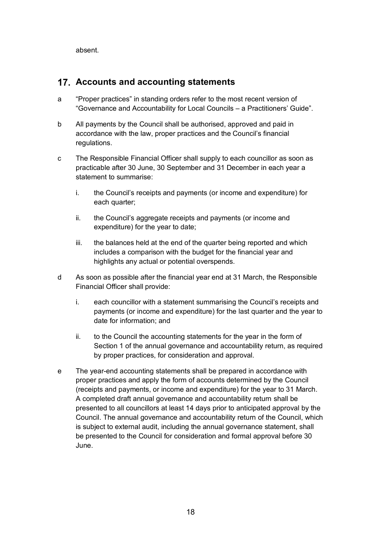absent.

### **Accounts and accounting statements**

- a "Proper practices" in standing orders refer to the most recent version of "Governance and Accountability for Local Councils – a Practitioners' Guide".
- b All payments by the Council shall be authorised, approved and paid in accordance with the law, proper practices and the Council's financial regulations.
- c The Responsible Financial Officer shall supply to each councillor as soon as practicable after 30 June, 30 September and 31 December in each year a statement to summarise:
	- i. the Council's receipts and payments (or income and expenditure) for each quarter;
	- ii. the Council's aggregate receipts and payments (or income and expenditure) for the year to date;
	- iii. the balances held at the end of the quarter being reported and which includes a comparison with the budget for the financial year and highlights any actual or potential overspends.
- d As soon as possible after the financial year end at 31 March, the Responsible Financial Officer shall provide:
	- i. each councillor with a statement summarising the Council's receipts and payments (or income and expenditure) for the last quarter and the year to date for information; and
	- ii. to the Council the accounting statements for the year in the form of Section 1 of the annual governance and accountability return, as required by proper practices, for consideration and approval.
- e The year-end accounting statements shall be prepared in accordance with proper practices and apply the form of accounts determined by the Council (receipts and payments, or income and expenditure) for the year to 31 March. A completed draft annual governance and accountability return shall be presented to all councillors at least 14 days prior to anticipated approval by the Council. The annual governance and accountability return of the Council, which is subject to external audit, including the annual governance statement, shall be presented to the Council for consideration and formal approval before 30 June.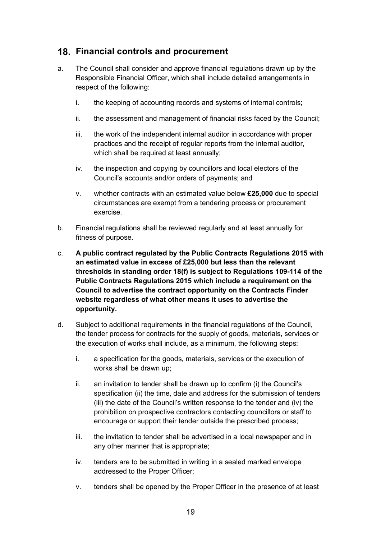### **Financial controls and procurement**

- a. The Council shall consider and approve financial regulations drawn up by the Responsible Financial Officer, which shall include detailed arrangements in respect of the following:
	- i. the keeping of accounting records and systems of internal controls;
	- ii. the assessment and management of financial risks faced by the Council;
	- iii. the work of the independent internal auditor in accordance with proper practices and the receipt of regular reports from the internal auditor, which shall be required at least annually;
	- iv. the inspection and copying by councillors and local electors of the Council's accounts and/or orders of payments; and
	- v. whether contracts with an estimated value below **£25,000** due to special circumstances are exempt from a tendering process or procurement exercise.
- b. Financial regulations shall be reviewed regularly and at least annually for fitness of purpose.
- c. **A public contract regulated by the Public Contracts Regulations 2015 with an estimated value in excess of £25,000 but less than the relevant thresholds in standing order 18(f) is subject to Regulations 109-114 of the Public Contracts Regulations 2015 which include a requirement on the Council to advertise the contract opportunity on the Contracts Finder website regardless of what other means it uses to advertise the opportunity.**
- d. Subject to additional requirements in the financial regulations of the Council, the tender process for contracts for the supply of goods, materials, services or the execution of works shall include, as a minimum, the following steps:
	- i. a specification for the goods, materials, services or the execution of works shall be drawn up;
	- ii. an invitation to tender shall be drawn up to confirm (i) the Council's specification (ii) the time, date and address for the submission of tenders (iii) the date of the Council's written response to the tender and (iv) the prohibition on prospective contractors contacting councillors or staff to encourage or support their tender outside the prescribed process;
	- iii. the invitation to tender shall be advertised in a local newspaper and in any other manner that is appropriate;
	- iv. tenders are to be submitted in writing in a sealed marked envelope addressed to the Proper Officer;
	- v. tenders shall be opened by the Proper Officer in the presence of at least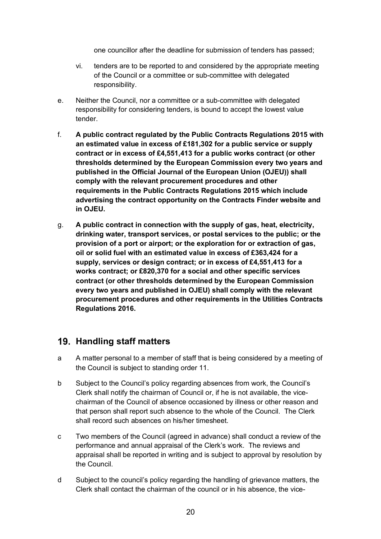one councillor after the deadline for submission of tenders has passed;

- vi. tenders are to be reported to and considered by the appropriate meeting of the Council or a committee or sub-committee with delegated responsibility.
- e. Neither the Council, nor a committee or a sub-committee with delegated responsibility for considering tenders, is bound to accept the lowest value tender.
- f. **A public contract regulated by the Public Contracts Regulations 2015 with an estimated value in excess of £181,302 for a public service or supply contract or in excess of £4,551,413 for a public works contract (or other thresholds determined by the European Commission every two years and published in the Official Journal of the European Union (OJEU)) shall comply with the relevant procurement procedures and other requirements in the Public Contracts Regulations 2015 which include advertising the contract opportunity on the Contracts Finder website and in OJEU.**
- g. **A public contract in connection with the supply of gas, heat, electricity, drinking water, transport services, or postal services to the public; or the provision of a port or airport; or the exploration for or extraction of gas, oil or solid fuel with an estimated value in excess of £363,424 for a supply, services or design contract; or in excess of £4,551,413 for a works contract; or £820,370 for a social and other specific services contract (or other thresholds determined by the European Commission every two years and published in OJEU) shall comply with the relevant procurement procedures and other requirements in the Utilities Contracts Regulations 2016.**

### **Handling staff matters**

- a A matter personal to a member of staff that is being considered by a meeting of the Council is subject to standing order 11.
- b Subject to the Council's policy regarding absences from work, the Council's Clerk shall notify the chairman of Council or, if he is not available, the vicechairman of the Council of absence occasioned by illness or other reason and that person shall report such absence to the whole of the Council. The Clerk shall record such absences on his/her timesheet.
- c Two members of the Council (agreed in advance) shall conduct a review of the performance and annual appraisal of the Clerk's work. The reviews and appraisal shall be reported in writing and is subject to approval by resolution by the Council.
- d Subject to the council's policy regarding the handling of grievance matters, the Clerk shall contact the chairman of the council or in his absence, the vice-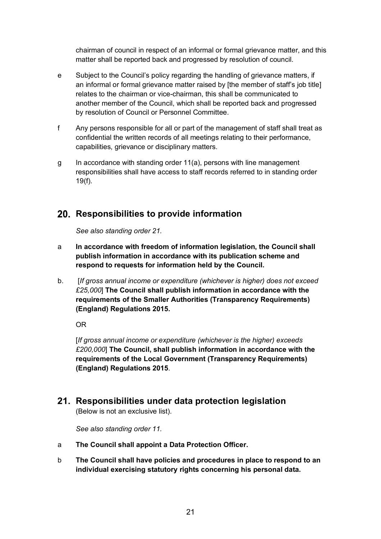chairman of council in respect of an informal or formal grievance matter, and this matter shall be reported back and progressed by resolution of council.

- e Subject to the Council's policy regarding the handling of grievance matters, if an informal or formal grievance matter raised by [the member of staff's job title] relates to the chairman or vice-chairman, this shall be communicated to another member of the Council, which shall be reported back and progressed by resolution of Council or Personnel Committee.
- f Any persons responsible for all or part of the management of staff shall treat as confidential the written records of all meetings relating to their performance, capabilities, grievance or disciplinary matters.
- g In accordance with standing order 11(a), persons with line management responsibilities shall have access to staff records referred to in standing order 19(f).

### **Responsibilities to provide information**

*See also standing order 21.*

- a **In accordance with freedom of information legislation, the Council shall publish information in accordance with its publication scheme and respond to requests for information held by the Council.**
- b. [*If gross annual income or expenditure (whichever is higher) does not exceed £25,000*] **The Council shall publish information in accordance with the requirements of the Smaller Authorities (Transparency Requirements) (England) Regulations 2015.**

OR

[*If gross annual income or expenditure (whichever is the higher) exceeds £200,000*] **The Council, shall publish information in accordance with the requirements of the Local Government (Transparency Requirements) (England) Regulations 2015**.

## **Responsibilities under data protection legislation**

(Below is not an exclusive list).

*See also standing order 11.*

- a **The Council shall appoint a Data Protection Officer.**
- b **The Council shall have policies and procedures in place to respond to an individual exercising statutory rights concerning his personal data.**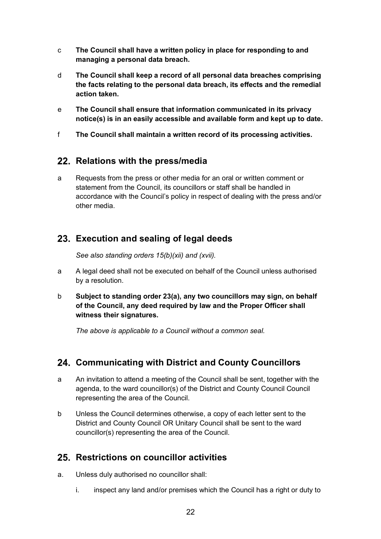- c **The Council shall have a written policy in place for responding to and managing a personal data breach.**
- d **The Council shall keep a record of all personal data breaches comprising the facts relating to the personal data breach, its effects and the remedial action taken.**
- e **The Council shall ensure that information communicated in its privacy notice(s) is in an easily accessible and available form and kept up to date.**
- f **The Council shall maintain a written record of its processing activities.**

### **Relations with the press/media**

a Requests from the press or other media for an oral or written comment or statement from the Council, its councillors or staff shall be handled in accordance with the Council's policy in respect of dealing with the press and/or other media.

### **Execution and sealing of legal deeds**

*See also standing orders 15(b)(xii) and (xvii).*

- a A legal deed shall not be executed on behalf of the Council unless authorised by a resolution.
- b **Subject to standing order 23(a), any two councillors may sign, on behalf of the Council, any deed required by law and the Proper Officer shall witness their signatures.**

*The above is applicable to a Council without a common seal.*

### **Communicating with District and County Councillors**

- a An invitation to attend a meeting of the Council shall be sent, together with the agenda, to the ward councillor(s) of the District and County Council Council representing the area of the Council.
- b Unless the Council determines otherwise, a copy of each letter sent to the District and County Council OR Unitary Council shall be sent to the ward councillor(s) representing the area of the Council.

### **Restrictions on councillor activities**

- a. Unless duly authorised no councillor shall:
	- i. inspect any land and/or premises which the Council has a right or duty to